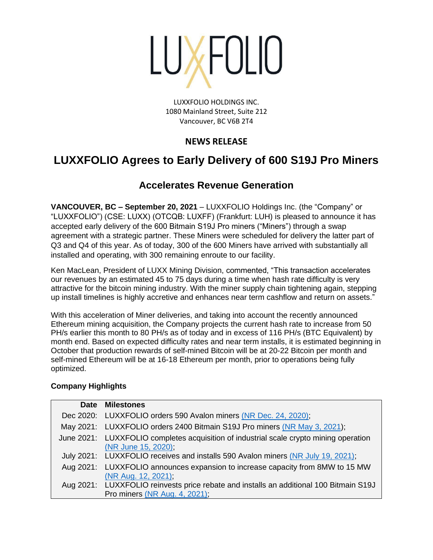

LUXXFOLIO HOLDINGS INC. 1080 Mainland Street, Suite 212 Vancouver, BC V6B 2T4

# **NEWS RELEASE**

# **LUXXFOLIO Agrees to Early Delivery of 600 S19J Pro Miners**

# **Accelerates Revenue Generation**

**VANCOUVER, BC – September 20, 2021** – LUXXFOLIO Holdings Inc. (the "Company" or "LUXXFOLIO") (CSE: LUXX) (OTCQB: LUXFF) (Frankfurt: LUH) is pleased to announce it has accepted early delivery of the 600 Bitmain S19J Pro miners ("Miners") through a swap agreement with a strategic partner. These Miners were scheduled for delivery the latter part of Q3 and Q4 of this year. As of today, 300 of the 600 Miners have arrived with substantially all installed and operating, with 300 remaining enroute to our facility.

Ken MacLean, President of LUXX Mining Division, commented, "This transaction accelerates our revenues by an estimated 45 to 75 days during a time when hash rate difficulty is very attractive for the bitcoin mining industry. With the miner supply chain tightening again, stepping up install timelines is highly accretive and enhances near term cashflow and return on assets."

With this acceleration of Miner deliveries, and taking into account the recently announced Ethereum mining acquisition, the Company projects the current hash rate to increase from 50 PH/s earlier this month to 80 PH/s as of today and in excess of 116 PH/s (BTC Equivalent) by month end. Based on expected difficulty rates and near term installs, it is estimated beginning in October that production rewards of self-mined Bitcoin will be at 20-22 Bitcoin per month and self-mined Ethereum will be at 16-18 Ethereum per month, prior to operations being fully optimized.

# **Company Highlights**

| Date Milestones                                                                                               |
|---------------------------------------------------------------------------------------------------------------|
| Dec 2020: LUXXFOLIO orders 590 Avalon miners (NR Dec. 24, 2020);                                              |
| May 2021: LUXXFOLIO orders 2400 Bitmain S19J Pro miners (NR May 3, 2021);                                     |
| June 2021: LUXXFOLIO completes acquisition of industrial scale crypto mining operation<br>(NR June 15, 2020); |
| July 2021: LUXXFOLIO receives and installs 590 Avalon miners (NR July 19, 2021);                              |
| Aug 2021: LUXXFOLIO announces expansion to increase capacity from 8MW to 15 MW<br>(NR Aug. 12, 2021),         |
| Aug 2021: LUXXFOLIO reinvests price rebate and installs an additional 100 Bitmain S19J                        |
| <b>Pro miners (NR Aug. 4, 2021),</b>                                                                          |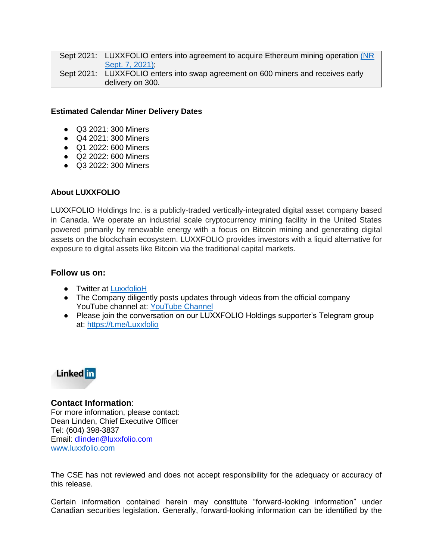Sept 2021: LUXXFOLIO enters into agreement to acquire Ethereum mining operation (NR [Sept. 7, 2021\);](https://www.luxxfolio.com/luxxfolio-diversifies-into-ethereum-with-acquisition-of-ethereum-miner-including-crypto-assets/) Sept 2021: LUXXFOLIO enters into swap agreement on 600 miners and receives early delivery on 300.

#### **Estimated Calendar Miner Delivery Dates**

- Q3 2021: 300 Miners
- Q4 2021: 300 Miners
- Q1 2022: 600 Miners
- Q2 2022: 600 Miners
- Q3 2022: 300 Miners

## **About LUXXFOLIO**

LUXXFOLIO Holdings Inc. is a publicly-traded vertically-integrated digital asset company based in Canada. We operate an industrial scale cryptocurrency mining facility in the United States powered primarily by renewable energy with a focus on Bitcoin mining and generating digital assets on the blockchain ecosystem. LUXXFOLIO provides investors with a liquid alternative for exposure to digital assets like Bitcoin via the traditional capital markets.

## **Follow us on:**

- Twitter at [LuxxfolioH](https://twitter.com/LuxxfolioH)
- The Company diligently posts updates through videos from the official company YouTube channel at: [YouTube Channel](https://www.youtube.com/channel/UCJjUv7CGqRyrRBP0l3IrS4A)
- Please join the conversation on our LUXXFOLIO Holdings supporter's Telegram group at:<https://t.me/Luxxfolio>



# **Contact Information**:

For more information, please contact: Dean Linden, Chief Executive Officer Tel: (604) 398-3837 Email: [dlinden@luxxfolio.com](mailto:dlinden@luxxfolio.com) [www.luxxfolio.com](https://www.luxxfolio.com/luxxfolio-lists-on-the-otcqb-market-in-the-united-states/)

The CSE has not reviewed and does not accept responsibility for the adequacy or accuracy of this release.

Certain information contained herein may constitute "forward-looking information" under Canadian securities legislation. Generally, forward-looking information can be identified by the